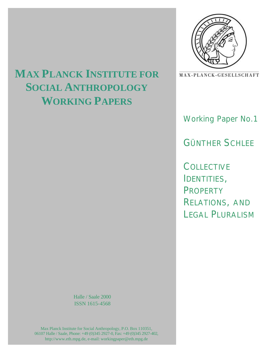

# MAX-PLANCK-GESELLSCHAFT

Working Paper No.1

GÜNTHER SCHLEE

**COLLECTIVE** IDENTITIES, PROPERTY RELATIONS, AND LEGAL PLURALISM

# **MAX PLANCK INSTITUTE FOR SOCIAL ANTHROPOLOGY WORKING PAPERS**

Halle / Saale 2000 ISSN 1615-4568

Max Planck Institute for Social Anthropology, P.O. Box 110351, 06107 Halle / Saale, Phone: +49 (0)345 2927-0, Fax: +49 (0)345 2927-402, http://www.eth.mpg.de, e-mail: workingpaper@eth.mpg.de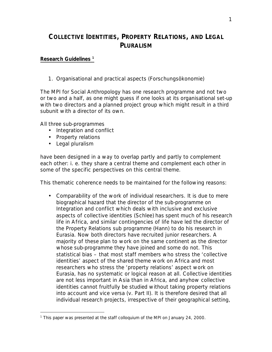# **COLLECTIVE IDENTITIES, PROPERTY RELATIONS, AND LEGAL PLURALISM**

# **Research Guidelines <sup>1</sup>**

# *1. Organisational and practical aspects (Forschungsökonomie)*

The MPI for Social Anthropology has *one* research programme and not two or two and a half, as one might guess if one looks at its organisational set-up with two directors and a planned project group which might result in a third subunit with a director of its own.

All three sub-programmes

- Integration and conflict
- Property relations
- Legal pluralism

 $\overline{a}$ 

have been designed in a way to overlap partly and partly to complement each other: i. e. they share a central theme and complement each other in some of the specific perspectives on this central theme.

This thematic coherence needs to be maintained for the following reasons:

• *Comparability of the work of individual researchers*. It is due to mere biographical hazard that the director of the sub-programme on Integration and conflict which deals with inclusive and exclusive aspects of collective identities (Schlee) has spent much of his research life in Africa, and similar contingencies of life have led the director of the Property Relations sub programme (Hann) to do his research in Eurasia. Now both directors have recruited junior researchers. A majority of these plan to work on the same continent as the director whose sub-programme they have joined and some do not. This statistical bias – that most staff members who stress the 'collective identities' aspect of the shared theme work on Africa and most researchers who stress the 'property relations' aspect work on Eurasia, has no systematic or logical reason at all. Collective identities are not less important in Asia than in Africa, and anyhow collective identities cannot fruitfully be studied without taking property relations into account and vice versa (v. Part II). It is therefore desired that all individual research projects, irrespective of their geographical setting,

<sup>1</sup> This paper was presented at the staff colloquium of the MPI on January 24, 2000.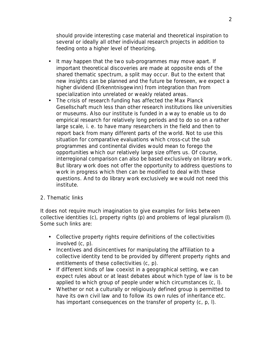should provide interesting case material and theoretical inspiration to several or ideally all other individual research projects in addition to feeding onto a higher level of theorizing.

- It may happen that the two sub-programmes may move apart. If important theoretical discoveries are made at opposite ends of the shared thematic spectrum, a split may occur. But to the extent that new insights can be planned and the future be foreseen, we expect a higher dividend (Erkenntnisgewinn) from integration than from specialization into unrelated or weakly related areas.
- The crisis of research funding has affected the Max Planck Gesellschaft much less than other research institutions like universities or museums. Also our institute is funded in a way to enable us to do empirical research for relatively long periods and to do so on a rather large scale, i. e. to have many researchers in the field and then to report back from many different parts of the world. Not to use this situation for comparative evaluations which cross-cut the sub programmes and continental divides would mean to forego the opportunities which our relatively large size offers us. Of course, interregional comparison can also be based exclusively on library work. But library work does not offer the opportunity to address questions to work in progress which then can be modified to deal with these questions. And to do library work exclusively we would not need this institute.

# *2. Thematic links*

It does not require much imagination to give examples for links between collective identities (c), property rights (p) and problems of legal pluralism (l). Some such links are:

- Collective property rights require definitions of the collectivities involved (c, p).
- Incentives and disincentives for manipulating the affiliation to a collective identity tend to be provided by different property rights and entitlements of these collectivities (c, p).
- If different kinds of law coexist in a geographical setting, we can expect rules about or at least debates about which type of law is to be applied to which group of people under which circumstances (c, l).
- Whether or not a culturally or religiously defined group is permitted to have its own civil law and to follow its own rules of inheritance etc. has important consequences on the transfer of property (c, p, l).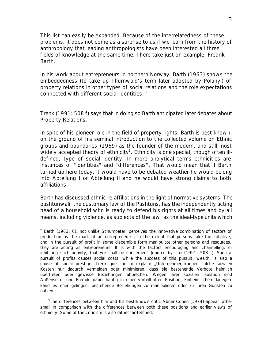This list can easily be expanded. Because of the interrelatedness of these problems, it does not come as a surprise to us if we learn from the history of anthropology that leading anthropologists have been interested all three fields of knowledge at the same time. I here take just on example, Fredrik Barth.

In his work about entrepreneurs in northern Norway, Barth (1963) shows the embeddedness (to take up Thurnwald's term later adopted by Polanyi) of property relations in other types of social relations and the role expectations connected with different social identities.<sup>2</sup>

Trenk (1991: 508 f) says that in doing so Barth anticipated later debates about Property Relations.

In spite of his pioneer role in the field of property rights, Barth is best known, on the ground of his seminal introduction to the collected volume on *Ethnic groups and boundaries* (1969) as the founder of the modern, and still most widely accepted theory of ethnicity<sup>3</sup>. Ethnicity is one special, though often illdefined, type of social identity. In more analytical terms ethnicities are instances of "identities" and "differences". That would mean that if Barth turned up here today, it would have to be debated weather he would belong into Abteilung I or Abteilung II and he would have strong claims to both affiliations.

Barth has discussed ethnic re-affiliations in the light of normative systems. The *pashtunwali*, the customary law of the Pashtuns, has the independently acting head of a household who is ready to defend his rights at all times and by all means, including violence, as subjects of the law, as the ideal-type units which

 $\overline{a}$ 

<sup>&</sup>lt;sup>2</sup> Barth (1963: 6), not unlike Schumpeter, perceives the innovative combination of factors of production as the mark of an entrepreneur: "To the extent that persons take the initiative, and in the pursuit of profit in some discernible form manipulate other persons and resources, they are acting as entrepreneurs. It is with the factors encouraging and channelling, or inhibiting such activity, that we shall be concerned" (quoted by Trenk1991: 508 f). Such a pursuit of profits causes social costs, while the success of this pursuit, wealth, is also a cause of social prestige. Trenk goes on to explain: "Unternehmer können solche sozialen Kosten nur dadurch vermeiden oder minimieren, dass sie bestehende Verbote heimlich übertreten oder gewisse Beziehungen abbrechen. Wegen ihrer sozialen Isolation sind Außenseiter und Fremde dabei häufig in einer vorteilhaften Position, Einheimischen dagegen kann es eher gelingen, bestehende Beziehungen zu manipulieren oder zu ihren Gunsten zu nützen."

<sup>&</sup>lt;sup>3</sup>The differences between him and his best-known critic Abner Cohen (1974) appear rather small in comparison with the differences between both these positions and earlier views of ethnicity. Some of the criticism is also rather far-fetched.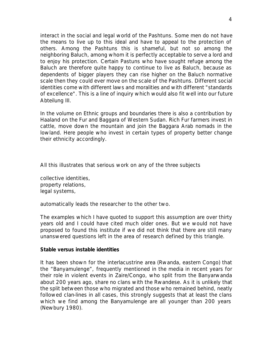interact in the social and legal world of the Pashtuns. Some men do not have the means to live up to this ideal and have to appeal to the protection of others. Among the Pashtuns this is shameful, but not so among the neighboring Baluch, among whom it is perfectly acceptable to serve a lord and to enjoy his protection. Certain Pastuns who have sought refuge among the Baluch are therefore quite happy to continue to live as Baluch, because as dependents of bigger players they can rise higher on the Baluch normative scale then they could ever move on the scale of the Pashtuns. Different social identities come with different laws and moralities and with different "standards of excellence". This is a line of inquiry which would also fit well into our future Abteilung III.

In the volume on *Ethnic groups and boundaries* there is also a contribution by Haaland on the Fur and Baggara of Western Sudan. Rich Fur farmers invest in cattle, move down the mountain and join the Baggara Arab nomads in the lowland. Here people who invest in certain types of property better change their ethnicity accordingly.

All this illustrates that serious work on any of the three subjects

collective identities, property relations, legal systems,

automatically leads the researcher to the other two.

The examples which I have quoted to support this assumption are over thirty years old and I could have cited much older ones. But we would not have proposed to found this institute if we did not think that there are still many unanswered questions left in the area of research defined by this triangle.

### **Stable versus instable identities**

It has been shown for the interlacustrine area (Rwanda, eastern Congo) that the "Banyamulenge", frequently mentioned in the media in recent years for their role in violent events in Zaire/Congo, who split from the Banyarwanda about 200 years ago, share no clans with the Rwandese. As it is unlikely that the split between those who migrated and those who remained behind, neatly followed clan-lines in all cases, this strongly suggests that at least the clans which we find among the Banyamulenge are all younger than 200 years (Newbury 1980).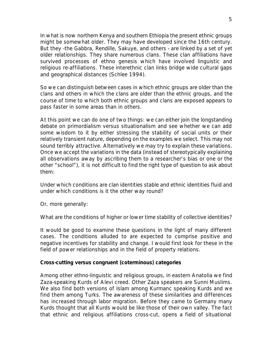In what is now northern Kenya and southern Ethiopia the present ethnic groups might be somewhat older. They may have developed since the 16th century. But they -the Gabbra, Rendille, Sakuye, and others - are linked by a set of yet older relationships. They share numerous clans. These clan affiliations have survived processes of ethno genesis which have involved linguistic and religious re-affiliations. These interethnic clan links bridge wide cultural gaps and geographical distances (Schlee 1994).

So we can distinguish between cases in which ethnic groups are older than the clans and others in which the clans are older than the ethnic groups, and the course of time to which both ethnic groups and clans are exposed appears to pass faster in some areas than in others.

At this point we can do one of two things: we can either join the longstanding debate on primordialism versus situationalism and see whether we can add some wisdom to it by either stressing the stability of social units or their relatively transient nature, depending on the examples we select. This may not sound terribly attractive. Alternatively we may try to explain these variations. Once we accept the variations in the data (instead of stereotypically explaining all observations away by ascribing them to a researcher's bias or one or the other "school"), it is not difficult to find the right type of question to ask about them:

Under which conditions are clan identities stable and ethnic identities fluid and under which conditions is it the other way round?

Or, more generally:

What are the conditions of higher or lower time stability of collective identities?

It would be good to examine these questions in the light of many different cases. The conditions alluded to are expected to comprise positive and negative incentives for stability and change. I would first look for these in the field of power relationships and in the field of property relations.

### **Cross-cutting versus congruent (coterminous) categories**

Among other ethno-linguistic and religious groups, in eastern Anatolia we find Zaza-speaking Kurds of Alevi creed. Other Zaza speakers are Sunni Muslims. We also find both versions of Islam among Kurmanc speaking Kurds and we find them among Turks. The awareness of these similarities and differences has increased through labor migration. Before they came to Germany many Kurds thought that all Kurds would be like those of their own valley. The fact that ethnic and religious affiliations cross-cut, opens a field of situational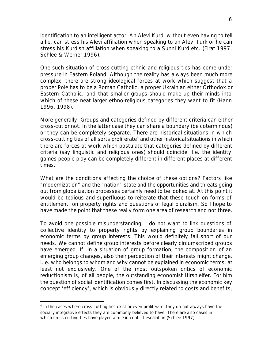identification to an intelligent actor. An Alevi Kurd, without even having to tell a lie, can stress his Alevi affiliation when speaking to an Alevi Turk or he can stress his Kurdish affiliation when speaking to a Sunni Kurd etc. (Firat 1997, Schlee & Werner 1996).

One such situation of cross-cutting ethnic and religious ties has come under pressure in Eastern Poland. Although the reality has always been much more complex, there are strong ideological forces at work which suggest that a proper Pole has to be a Roman Catholic, a proper Ukrainian either Orthodox or Eastern Catholic, and that smaller groups should make up their minds into which of these neat larger ethno-religious categories they want to fit (Hann 1996, 1998).

More generally: Groups and categories defined by different criteria can either cross-cut or not. In the latter case they can share a boundary (be coterminous) or they can be completely separate. There are historical situations in which  $cross-cutting$  ties of all sorts proliferate $4$  and other historical situations in which there are forces at work which postulate that categories defined by different criteria (say linguistic and religious ones) should coincide. I.e. the identity games people play can be completely different in different places at different times.

What are the conditions affecting the choice of these options? Factors like "modernization" and the "nation"-state and the opportunities and threats going out from globalization processes certainly need to be looked at. At this point it would be tedious and superfluous to reiterate that these touch on forms of entitlement, on property rights and questions of legal pluralism. So I hope to have made the point that these really form one area of research and not three.

To avoid one possible misunderstanding: I do not want to link questions of collective identity to property rights by explaining group boundaries in economic terms by group interests. This would definitely fall short of our needs. We cannot define group interests before clearly circumscribed groups have emerged. If, in a situation of group formation, the composition of an emerging group changes, also their perception of their interests might change. I. e. who belongs to whom and why cannot be explained in economic terms, at least not exclusively. One of the most outspoken critics of economic reductionism is, of all people, the outstanding economist Hirshleifer. For him the question of social identification comes first. In discussing the economic key concept 'efficiency', which is obviously directly related to costs and benefits,

 $\overline{a}$ 

<sup>&</sup>lt;sup>4</sup> In the cases where cross-cutting ties exist or even proliferate, they do not always have the socially integrative effects they are commonly believed to have. There are also cases in which cross-cutting ties have played a role in conflict escalation (Schlee 1997).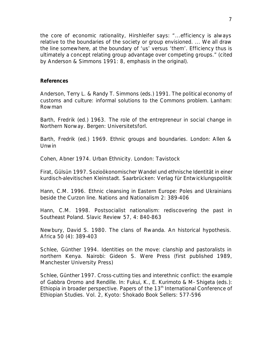the core of economic rationality, Hirshleifer says: "...efficiency is always relative to the boundaries of the society or group envisioned. ... We all draw the line somewhere, at the boundary of 'us' versus 'them'. *Efficiency thus is ultimately a concept relating group advantage over competing groups.*" (cited by Anderson & Simmons 1991: 8, emphasis in the original).

### **References**

Anderson, Terry L. & Randy T. Simmons (eds.) 1991. *The political economy of customs and culture: informal solutions to the Commons problem.* Lanham: Rowman

Barth, Fredrik (ed.) 1963. *The role of the entrepreneur in social change in Northern Norway*. Bergen: Universitetsforl.

Barth, Fredrik (ed.) 1969. *Ethnic groups and boundaries.* London: Allen & Unwin

Cohen, Abner 1974. *Urban Ethnicity.* London: Tavistock

Firat, Gülsün 1997. *Sozioökonomischer Wandel und ethnische Identität in einer kurdisch-alevitischen Kleinstadt.* Saarbrücken: Verlag für Entwicklungspolitik

Hann, C.M. 1996. Ethnic cleansing in Eastern Europe: Poles and Ukrainians beside the Curzon line. *Nations and Nationalism* 2: 389-406

Hann, C.M. 1998. Postsocialist nationalism: rediscovering the past in Southeast Poland. *Slavic Review* 57, 4: 840-863

Newbury, David S. 1980. The clans of Rwanda. An historical hypothesis. *Africa* 50 (4): 389-403

Schlee, Günther 1994. *Identities on the move: clanship and pastoralists in northern Kenya.* Nairobi: Gideon S. Were Press (first published 1989, Manchester University Press)

Schlee, Günther 1997. Cross-cutting ties and interethnic conflict: the example of Gabbra Oromo and Rendille. In: Fukui, K., E. Kurimoto & M- Shigeta (eds.): *Ethiopia in broader perspective. Papers of the 13th International Conference of Ethiopian Studies.* Vol. 2, Kyoto: Shokado Book Sellers: 577-596